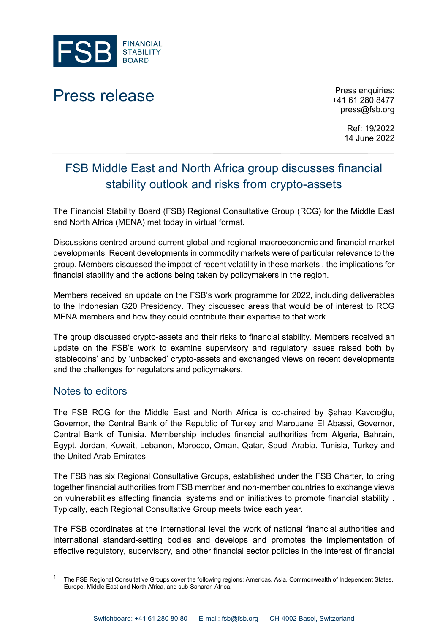

## Press release Press enquiries:

+41 61 280 8477 [press@fsb.org](mailto:press@fsb.org)

> Ref: 19/2022 14 June 2022

## FSB Middle East and North Africa group discusses financial stability outlook and risks from crypto-assets

The Financial Stability Board (FSB) Regional Consultative Group (RCG) for the Middle East and North Africa (MENA) met today in virtual format.

Discussions centred around current global and regional macroeconomic and financial market developments. Recent developments in commodity markets were of particular relevance to the group. Members discussed the impact of recent volatility in these markets , the implications for financial stability and the actions being taken by policymakers in the region.

Members received an update on the FSB's work programme for 2022, including deliverables to the Indonesian G20 Presidency. They discussed areas that would be of interest to RCG MENA members and how they could contribute their expertise to that work.

The group discussed crypto-assets and their risks to financial stability. Members received an update on the FSB's work to examine supervisory and regulatory issues raised both by 'stablecoins' and by 'unbacked' crypto-assets and exchanged views on recent developments and the challenges for regulators and policymakers.

## Notes to editors

The FSB RCG for the Middle East and North Africa is co-chaired by Şahap Kavcıoğlu, Governor, the Central Bank of the Republic of Turkey and Marouane El Abassi, Governor, Central Bank of Tunisia. Membership includes financial authorities from Algeria, Bahrain, Egypt, Jordan, Kuwait, Lebanon, Morocco, Oman, Qatar, Saudi Arabia, Tunisia, Turkey and the United Arab Emirates.

The FSB has six Regional Consultative Groups, established under the FSB Charter, to bring together financial authorities from FSB member and non-member countries to exchange views on vulnerabilities affecting financial systems and on initiatives to promote financial stability<sup>1</sup>. Typically, each Regional Consultative Group meets twice each year.

The FSB coordinates at the international level the work of national financial authorities and international standard-setting bodies and develops and promotes the implementation of effective regulatory, supervisory, and other financial sector policies in the interest of financial

<span id="page-0-0"></span><sup>1</sup> The FSB Regional Consultative Groups cover the following regions: Americas, Asia, Commonwealth of Independent States, Europe, Middle East and North Africa, and sub-Saharan Africa.